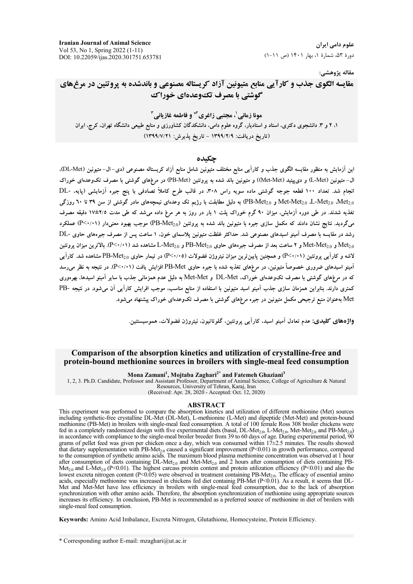**Iranian Journal of Animal Science** Vol 53, No 1, Spring 2022 (1-11) DOI: 10.22059/ijas.2020.301751.653781

علوم دامی ایران دورهٔ ۵۳، شمارهٔ ۱، بهار ۱۴۰۱ (ص ۱۱-۱)

مقاله پژوهشي:

مقایسه الگوی جذب و کارآیی منابع متیونین آزاد کریستاله مصنوعی و باندشده به پروتئین در مرغهای گوشتی با مصرف تک1وعدهای خوراک

مونا زمانی'، مجتبی زاغری'\* و فاطمه غازیانی" ۱، ۲ و ۳. دانشجوی دکتری، استاد و استادیار، گروه علوم دامی، دانشکدگان کشاورزی و منابع طبیعی دانشگاه تهران، کرج، ایران (تاریخ دریافت: ۱۳۹۹/۲/۹ - تاریخ پذیرش: ۱۳۹۹/۷/۲۱)

### حكىدە

این آزمایش به منظور مقایسه الگوی جذب و کارآیی منابع مختلف متیونین شامل منابع آزاد کریستاله مصنوعی (دی–ال– متیونین (DL-Met). ال-متیونین (L-Met) و دی پیتید (Met-Met)) و متیونین باند شده به پروتئین (PB-Met) در مرغهای گوشتی با مصرف تکوعدهای خوراک انجام شد. تعداد ۱۰۰ قطعه جوجه گوشتی ماده سویه راس ۳۰۸، در قالب طرح کاملاً تصادفی با پنج جیره آزمایشی (پایه، -DL Met-Met<sub>2.0</sub> ،L-Met<sub>2.0</sub> ،Met و PB-Met<sub>2.0</sub>) به دلیل مطابقت با رژیم تک وعدہای نیمچههای مادر گوشتی از سن ۳۹ تا ٦٠ روزگی تغذیه شدند. در طی دوره آزمایش، میزان ۹۰ گرم خوراک یلت ۱ بار در روز به هر مرغ داده می شد که طی مدت ۷۵±۱۷ دقیقه مصرف میگردید. نتایج نشان دادند که مکمل سازی جیره با متیونین باند شده به پروتئین (PB-Met<sub>2.0</sub>) موجب بهبود معنیدار (P<۰/۱۱) عملکرد رشد در مقایسه با مصرف آمینو اسیدهای مصنوعی شد. حداکثر غلظت متیونین پلاسمای خون. ۱ ساعت پس از مصرف جیرههای حاوی -DL Met-Met<sub>2.0</sub> و Met-Met<sub>2.0</sub> و ۲ ساعت بعد از مصرف جیرههای حاوی PB-Met<sub>2.0</sub> و L-Met<sub>2.0</sub> مشاهده شد (P<۰/۰۱). بالاترین میزان پروتئین لاشه و کارآیی یروتئین (۱۹/۰۲) و همچنین پایین ترین میزان نیتروژن فضولات (۴/۰۰۵) در تیمار حاوی PB-Met<sub>2.0</sub> مشاهده شد. کارآیی آمینو اسیدهای ضروری خصوصاً متیونین، در مرغهای تغذیه شده با جیره حاوی PB-Met افزایش یافت (۱۰/۰۲). در نتیجه به نظر می رسد که در مرغهای گوشتی با مصرف تکوعدهای خوراک، DL-Met و Met-Met به دلیل عدم همزمانی جذب با سایر آمینو اسیدها، بهرهوری کمتری دارند. بنابراین همزمان سازی جذب آمینو اسید متیونین با استفاده از منابع مناسب، موجب افرایش کارآیی آن میشود. در نتیجه -PB .<br>Met بهعنوان منبع ترجیحی مکمل متیونین در جیره مرغهای گوشتی با مصرف تکوعدهای خوراک ییشنهاد م<sub>ی </sub>شود.

واژههای کلیدی: عدم تعادل آمینو اسید، کارآیی پروتئین، گلوتاتیون، نیتروژن فضولات، هموسیستئین.

### Comparison of the absorption kinetics and utilization of crystalline-free and protein-bound methionine sources in broilers with single-meal feed consumption

Mona Zamani<sup>1</sup>, Mojtaba Zaghari<sup>2\*</sup> and Fatemeh Ghaziani<sup>3</sup>

1, 2, 3. Ph.D. Candidate, Professor and Assistant Professor, Department of Animal Science, College of Agriculture & Natural Resources, University of Tehran, Karaj, Iran

(Received: Apr. 28, 2020 - Accepted: Oct. 12, 2020)

#### **ABSTRACT**

This experiment was performed to compare the absorption kinetics and utilization of different methionine (Met) sources including synthetic-free crystalline DL-Met (DL-Met), L-methionine (L-Met) and dipeptide (Met-Met) and protein-bound methionine (PB-Met) in broilers with single-meal feed consumption. A total of 100 female Ross 308 broiler chickens were fed in a completely randomized design with five experimental diets (basal, DL-Met<sub>20</sub>, L-Met<sub>20</sub>, Met-Met<sub>20</sub> and PB-Met<sub>20</sub>) in accordance with compliance to the single-meal broiler breeder from 39 to 60 days of age. During experimental period, 90 grams of pellet feed was given per chicken once a day, which was consumed within  $17\pm2.5$  minutes. The results showed barraries that dietary supplementation with PB-Met<sub>2.0</sub> caused a significant improvement (P<0.01) in growth performance, compared to the consumption of synthetic amino acids. The maximum blood plasma methionine concentrat Met<sub>2.0</sub> and L-Met<sub>2.0</sub> (P<0.01). The highest carcass protein content and protein utilization efficiency (P<0.01) and also the lowest excreta nitrogen content (P<0.05) were observed in treatment containing PB-Met<sub>20</sub>. The efficacy of essential amino acids, especially methionine was increased in chickens fed diet containig PB-Met  $(P< 0.01)$ . As a result, it seems that DL-Net and Met-Met have less efficiency in broilers with single-meal feed consumption, due to the lack of absorption<br>synchronization with other amino acids. Therefore, the absorption synchronization of methionine using approp increases its efficiency. In conclusion, PB-Met is recommended as a preferred source of methionine in diet of broilers with single-meal feed consumption.

Keywords: Amino Acid Imbalance, Excreta Nitrogen, Glutathione, Homocysteine, Protein Efficiency.

<sup>\*</sup> Corresponding author E-mail: mzaghari@ut.ac.ir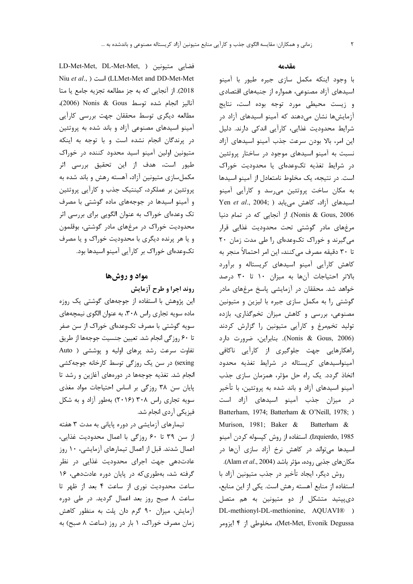### مقدمه

با وجود اینکه مکمل سازی جیره طیور با آمینو اسیدهای آزاد مصنوعی، همواره از جنبههای اقتصادی و زیست محیطی مورد توجه بوده است، نتایج آزمایشها نشان میدهند که آمینو اسیدهای آزاد در شرایط محدودیت غذایی، کارآیی اندکی دارند. دلیل این امر، بالا بودن سرعت جذب آمینو اسیدهای آزاد نسبت به آمینو اسیدهای موجود در ساختار پروتئین در شرایط تغذیه تکوعدهای یا محدودیت خوراک است. در نتیجه، یک مخلوط نامتعادل از آمینو اسیدها به مکان ساخت پروتئین می رسد و کارآیی آمینو Yen et al., 2004; ) اسیدهای آزاد، کاهش مییابد Nonis & Gous, 2006). از آنجایی که در تمام دنیا مرغهای مادر گوشتی تحت محدودیت غذایی قرار می گیرند و خوراک تکوعدهای را طی مدت زمان ۲۰ تا ٣٠ دقيقه مصرف مي كنند، اين امر احتمالاً منجر به کاهش کارایی اَمینو اسیدهای کریستاله و براَورد بالاتر احتیاجات آنها به میزان ١٠ تا ٣٠ درصد خواهد شد. محققان در آزمایشی پاسخ مرغهای مادر گوشتی را به مکمل سازی جیره با لیزین و متیونین مصنوعی، بررسی و کاهش میزان تخمگذاری، بازده تولید تخمهرغ و کارآیی متیونین را گزارش کردند (Nonis & Gous, 2006). بنابراين، ضرورت دارد راهکارهایی جهت جلوگیری از کارآیی ناکافی آمینواسیدهای کریستاله در شرایط تغذیه محدود اتخاذ گردد. یک راه حل مؤثر، همزمان سازی جذب آمینو اسیدهای آزاد و باند شده به پروتئین، با تأخیر در میزان جذب آمینو اسیدهای آزاد است Batterham, 1974; Batterham & O'Neill, 1978; ) Murison, 1981; Baker & Batterham & Izquierdo, 1985). استفاده از روش کیسوله کردن آمینو اسیدها میتواند در کاهش نرخ آزاد سازی آنها در مكانهاي جذبي روده، مؤثر باشد (Alam *et al*., 2004). روش دیگر، ایجاد تأخیر در جذب متیونین آزاد با استفاده از منابع آهسته رهش است. یکی از این منابع، دی پیتید متشکل از دو متیونین به هم متصل DL-methionyl-DL-methionine, AQUAVI®) Met-Met, Evonik Degussa)، مخلوطی از ۴ ایزومر

LD-Met-Met, DL-Met-Met, ) متيونين ( Niu et al., ) است (LLMet-Met and DD-Met-Met 2018). از آنجایی که به جز مطالعه تجزیه جامع یا متا آناليز انجام شده توسط 2006)، (2006)، مطالعه دیگری توسط محققان جهت بررسی کارآیی آمینو اسیدهای مصنوعی آزاد و باند شده به پروتئین در پرندگان انجام نشده است و با توجه به اینکه متیونین اولین آمینو اسید محدود کننده در خوراک طیور است، هدف از این تحقیق بررسی اثر مکملسازی متیونین آزاد، آهسته رهش و باند شده به پروتئین بر عملکرد، کینتیک جذب و کارآیی پروتئین و آمینو اسیدها در جوجههای ماده گوشتی با مصرف تک وعدهای خوراک به عنوان الگویی برای بررسی اثر محدودیت خوراک در مرغهای مادر گوشتی، بوقلمون و یا هر پرنده دیگری با محدودیت خوراک و یا مصرف تکوعدهای خوراک بر کارآیی آمینو اسیدها بود.

## مواد و روشها

# روند اجرا و طرح آزمایش

این پژوهش با استفاده از جوجههای گوشتی یک روزه ماده سویه تجاری راس ۳۰۸، به عنوان الگوی نیمچههای سویه گوشتی با مصرف تکوعدهای خوراک از سن صفر تا ۶۰ روزگی انجام شد. تعیین جنسیت جوجهها از طریق تفاوت سرعت رشد پرهای اولیه و پوششی ( Auto sexing) در سن یک روزگی توسط کارخانه جوجهکشی انجام شد. تغذیه جوجهها در دورههای آغازین و رشد تا پایان سن ۳۸ روزگی بر اساس احتیاجات مواد مغذی سویه تجاری راس ۳۰۸ (۲۰۱۶) بهطور آزاد و به شکل فیزیکی آردی انجام شد.

تیمارهای آزمایشی در دوره پایانی به مدت ۳ هفته از سن ٣٩ تا ٤٠ روزگي با اعمال محدوديت غذايي، اعمال شدند. قبل از اعمال تیمارهای آزمایشی، ۱۰ روز عادتدهی جهت اجرای محدودیت غذایی در نظر گرفته شد، بهطوری که در پایان دوره عادتدهی، ١۶ ساعت محدودیت نوری از ساعت ۴ بعد از ظهر تا ساعت ۸ صبح روز بعد اعمال گردید. در طی دوره آزمایش، میزان ۹۰ گرم دان پلت به منظور کاهش زمان مصرف خوراک، ۱ بار در روز (ساعت ۸ صبح) به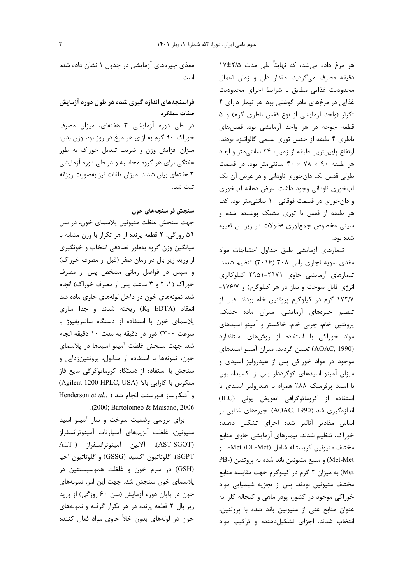هر مرغ داده میشد، که نهایتاً طی مدت ۱۷±۱۷ دقیقه مصرف میگردید. مقدار دان و زمان اعمال محدودیت غذایی مطابق با شرایط اجرای محدودیت غذایی در مرغهای مادر گوشتی بود. هر تیمار دارای ۴ تکرار (واحد آزمایشی از نوع قفس باطری گرم) و ۵ قطعه جوجه در هر واحد آزمایشی بود. قفسهای باطری ۴ طبقه از جنس توری سیمی گالوانیزه بودند. ارتفاع پایینترین طبقه از زمین، ۲۴ سانتیمتر و ابعاد هر طبقه ۹۰ × ۷۸ × ۴۰ سانتی متر بود. در قسمت طولي قفس يک دانخوري ناوداني و در عرض آن يک آبخوری ناودانی وجود داشت. عرض دهانه آبخوری و دانخوری در قسمت فوقانی ۱۰ سانتی متر بود. کف هر طبقه از قفس با توری مشبک پوشیده شده و سینی مخصوص جمعآوری فضولات در زیر آن تعبیه شده بود.

تيمارهاى آزمايشى طبق جداول احتياجات مواد مغذی سویه تجاری راس ۳۰۸ (۲۰۱۶) تنظیم شدند. تیمارهای آزمایشی حاوی ۲۹۷۱-۲۹۵۱ کیلوکالری انرژی قابل سوخت و ساز در هر کیلوگرم) و ۱۷۶/۷-۱۷۲/۷ گرم در کیلوگرم پروتئین خام بودند. قبل از تنظیم جیرههای آزمایشی، میزان ماده خشک، پروتئین خام، چربی خام، خاکستر و آمینو اسیدهای مواد خوراکی با استفاده از روشهای استاندارد (AOAC, 1990) تعيين گرديد. ميزان آمينو اسيدهاي موجود در مواد خوراکی پس از هیدرولیز اسیدی و میزان آمینو اسیدهای گوگرددار پس از اکسیداسیون با اسید پرفرمیک ۸۸٪ همراه با هیدرولیز اسیدی با استفاده از کروماتوگرافی تعویض یونی (IEC) اندازهگیری شد (AOAC, 1990). جیرههای غذایی بر اساس مقادیر آنالیز شده اجزای تشکیل دهنده خوراک، تنظیم شدند. تیمارهای آزمایشی حاوی منابع مختلف متيونين كريستاله شامل (L-Met ،DL-Met و Met-Met) و منبع متيونين باند شده به پروتئين (-PB Met) به میزان ۲ گرم در کیلوگرم جهت مقایسه منابع مختلف متیونین بودند. پس از تجزیه شیمیایی مواد خوراکی موجود در کشور، پودر ماهی و کنجاله کلزا به عنوان منابع غنی از متیونین باند شده با پروتئین، انتخاب شدند. اجزای تشکیل دهنده و ترکیب مواد

مغذی جیرههای آزمایشی در جدول ۱ نشان داده شده است.

# فراسنجههای اندازه گیری شده در طول دوره آزمایش صفات عملكرد

در طی دوره آزمایشی ۳ هفتهای، میزان مصرف خوراک ۹۰ گرم به ازای هر مرغ در روز بود. وزن بدن، میزان افزایش وزن و ضریب تبدیل خوراک به طور هفتگی برای هر گروه محاسبه و در طی دوره آزمایشی ۳ هفتهای بیان شدند. میزان تلفات نیز بهصورت روزانه ثىت شد.

## سنجش فراسنجههای خون

جهت سنجش غلظت متيونين پلاسماي خون، در سن ۵۹ روزگی، ۲ قطعه پرنده از هر تکرار با وزن مشابه با میانگین وزن گروه بهطور تصادفی انتخاب و خونگیری از وريد زير بال در زمان صفر (قبل از مصرف خوراک) و سپس در فواصل زمانی مشخص پس از مصرف خوراک (۱، ۲ و ۳ ساعت پس از مصرف خوراک) انجام شد. نمونههای خون در داخل لولههای حاوی ماده ضد انعقاد (K2 EDTA) ريخته شدند و جدا سازى پلاسمای خون با استفاده از دستگاه سانتریفیوژ با سرعت ٣٣٠٠ دور در دقيقه به مدت ١٠ دقيقه انجام شد. جهت سنجش غلظت آمینو اسیدها در پلاسمای خون، نمونهها با استفاده از متانول، پروتئینزدایی و سنجش با استفاده از دستگاه کروماتوگرافی مایع فاز (Agilent 1200 HPLC, USA) معكوس با كارايي بالا Henderson et al., ) بو آشكارساز فلورسنت انجام شد .(2000; Bartolomeo & Maisano, 2006

برای بررسی وضعیت سوخت و ساز آمینو اسید متيونين، غلظت آنزيمهاى آسپارتات آمينوترانسفراز (AST-SGOT)، ألانين أمينوترانسفراز (-ALT SGPT)، گلوتاتيون اکسيد (GSSG) و گلوتاتيون احيا (GSH) در سرم خون و غلظت هموسیستئین در پلاسمای خون سنجش شد. جهت این امر، نمونههای خون در پایان دوره آزمایش (سن ۶۰ روزگی) از ورید زیر بال ۲ قطعه پرنده در هر تکرار گرفته و نمونههای خون در لولههای بدون خلأ حاوی مواد فعال کننده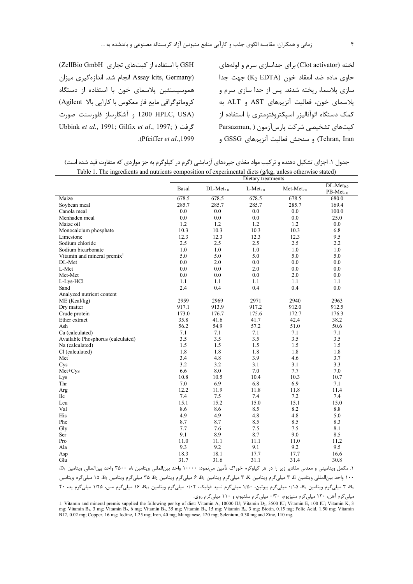$\mathbf{r}$ 

GSH با استفاده از کیتهای تجاری ZellBio GmbH) (Assay kits, Germany انجام شد. اندازهگیری میزان هموسیستئین پلاسمای خون با استفاده از دستگاه کروماتوگرافی مایع فاز معکوس با کارایی بالا Agilent) (1200 HPLC, USA و آشكارساز فلورسنت صورت Ubbink et al., 1991; Gilfix et al., 1997; ) .(Pfeiffer et al., 1999).

لخته (Clot activator) برای جداسازی سرم و لولههای  $K_2$  EDTA) حاوی ماده ضد انعقاد خون (K2 EDTA) جهت جدا سازی پلاسما، ریخته شدند. پس از جدا سازی سرم و پلاسمای خون، فعالیت آنزیمهای AST و ALT به کمک دستگاه اتوآنالیزر اسیکتروفتومتری با استفاده از كيت هاي تشخيصي شركت يارس آزمون (Parsazmun, ) Tehran, Iran) و سنجش فعاليت آنزيمهاي GSSG و

جدول ۱. اجزای تشکیل دهنده و ترکیب مواد مغذی جیرههای آزمایشی (گرم در کیلوگرم به جز مواردی که متفاوت قید شده است) Table 1. The ingredients and nutrients composition of experimental diets (g/kg, unless otherwise stated)

|                                         | Dietary treatments |             |            |                 |                            |  |  |  |  |
|-----------------------------------------|--------------------|-------------|------------|-----------------|----------------------------|--|--|--|--|
|                                         | Basal              | $DL-Met2.0$ | $L-Met2.0$ | $Met-Met_{2.0}$ | $DL-Met0.0$<br>$PB-Met2.0$ |  |  |  |  |
| Maize                                   | 678.5              | 678.5       | 678.5      | 678.5           | 680.0                      |  |  |  |  |
| Soybean meal                            | 285.7              | 285.7       | 285.7      | 285.7           | 169.4                      |  |  |  |  |
| Canola meal                             | 0.0                | 0.0         | 0.0        | 0.0             | 100.0                      |  |  |  |  |
| Menhaden meal                           | 0.0                | 0.0         | 0.0        | 0.0             | 25.0                       |  |  |  |  |
| Maize oil                               | 1.2                | 1.2         | 1.2        | 1.2             | 0.0                        |  |  |  |  |
| Monocalcium phosphate                   | 10.3               | 10.3        | 10.3       | 10.3            | 6.8                        |  |  |  |  |
| Limestone                               | 12.3               | 12.3        | 12.3       | 12.3            | 9.5                        |  |  |  |  |
| Sodium chloride                         | 2.5                | 2.5         | 2.5        | 2.5             | 2.2                        |  |  |  |  |
| Sodium bicarbonate                      | 1.0                | 1.0         | 1.0        | 1.0             | 1.0                        |  |  |  |  |
| Vitamin and mineral premix <sup>1</sup> | 5.0                | 5.0         | 5.0        | 5.0             | 5.0                        |  |  |  |  |
| DL-Met                                  | 0.0                | 2.0         | 0.0        | 0.0             | 0.0                        |  |  |  |  |
| L-Met                                   | 0.0                | 0.0         | 2.0        | 0.0             | 0.0                        |  |  |  |  |
| Met-Met                                 | 0.0                | 0.0         | 0.0        | 2.0             | 0.0                        |  |  |  |  |
| L-Lys-HCl                               | 1.1                | 1.1         | 1.1        | 1.1             | 1.1                        |  |  |  |  |
| Sand                                    | 2.4                | 0.4         | 0.4        | 0.4             | 0.0                        |  |  |  |  |
| Analyzed nutrient content               |                    |             |            |                 |                            |  |  |  |  |
| ME (Kcal/kg)                            | 2959               | 2969        | 2971       | 2940            | 2963                       |  |  |  |  |
| Dry matter                              | 917.1              | 913.9       | 917.2      | 912.0           | 912.5                      |  |  |  |  |
| Crude protein                           | 173.0              | 176.7       | 175.6      | 172.7           | 176.3                      |  |  |  |  |
| Ether extract                           | 35.8               | 41.6        | 41.7       | 42.4            | 38.2                       |  |  |  |  |
| Ash                                     | 56.2               | 54.9        | 57.2       | 51.0            | 50.6                       |  |  |  |  |
| Ca (calculated)                         | 7.1                | 7.1         | 7.1        | 7.1             | 7.1                        |  |  |  |  |
| Available Phosphorus (calculated)       | 3.5                | 3.5         | 3.5        | 3.5             | 3.5                        |  |  |  |  |
| Na (calculated)                         | 1.5                | 1.5         | 1.5        | 1.5             | 1.5                        |  |  |  |  |
| Cl (calculated)                         | 1.8                | 1.8         | 1.8        | 1.8             | 1.8                        |  |  |  |  |
| Met                                     | 3.4                | 4.8         | 3.9        | 4.6             | 3.7                        |  |  |  |  |
| Cys                                     | 3.2                | 3.2         | 3.1        | 3.1             | 3.3                        |  |  |  |  |
| Met+Cys                                 | 6.6                | 8.0         | 7.0        | 7.7             | 7.0                        |  |  |  |  |
| Lys                                     | 10.8               | 10.5        | 10.4       | 10.3            | 10.7                       |  |  |  |  |
| Thr                                     | 7.0                | 6.9         | 6.8        | 6.9             | 7.1                        |  |  |  |  |
| Arg                                     | 12.2               | 11.9        | 11.8       | 11.8            | 11.4                       |  |  |  |  |
| <b>Ile</b>                              | 7.4                | 7.5         | 7.4        | 7.2             | 7.4                        |  |  |  |  |
| Leu                                     | 15.1               | 15.2        | 15.0       | 15.1            | 15.0                       |  |  |  |  |
| Val                                     | 8.6                | 8.6         | 8.5        | 8.2             | 8.8                        |  |  |  |  |
| His                                     | 4.9                | 4.9         | 4.8        | 4.8             | 5.0                        |  |  |  |  |
| Phe                                     | 8.7                | 8.7         | 8.5        | 8.5             | 8.3                        |  |  |  |  |
| Gly                                     | 7.7                | 7.6         | 7.5        | 7.5             | 8.1                        |  |  |  |  |
| Ser                                     | 9.1                | 8.9         | 8.7        | 9.0             | 8.5                        |  |  |  |  |
| Pro                                     | 11.0               | 11.1        | 11.1       | 11.0            | 11.2                       |  |  |  |  |
| Ala                                     | 9.3                | 9.2         | 9.1        | 9.2             | 9.5                        |  |  |  |  |
| Asp                                     | 18.3               | 18.1        | 17.7       | 17.7            | 16.6                       |  |  |  |  |
| Glu                                     | 31.7               | 31.6        | 31.1       | 31.4            | 30.8                       |  |  |  |  |

۱. مكمل ويتاميني و معدني مقادير زير را در هر كيلوگرم خوراک تأمين ميiمود: ۱۰۰۰۰ واحد بين|لمللي ويتامين A، ۳۵۰۰ واحد بين|لمللي ويتامين وD، ۱۰۰ واحد بينالمللي ويتامين E ، ۳ ميلي گرم ويتامين K ، ۳ ميلي گرم ويتامين B، ۶ ميلي گرم ويتامين دهم در سلم سي ده دا ميلي گرم ويتامين

B5، ۳ میلیگرم ویتامین B6، ۱/۵۰ میلیگرم بیوتین، ۱/۵۰ میلیگرم اسید فولیک، ۰/۰۲ میلیگرم ویتامین B<sub>2،</sub> ۱۶ میلیگرم مس، ۱/۲۵ میلیگرم ید، ۴۰

میلیگرم آهن، ۱۲۰ میلیگرم منیزیوم، ۰/۳۰ میلیگرم سلنیوم، و ۱۱۰ میلیگرم روی.

1. Vitamin and mineral premix supplied the following per kg of diet: Vitamin A, 10000 IU; Vitamin D<sub>3</sub>, 3500 IU; Vitamin E, 100 IU; Vitamin K, 3 mg; Vitamin B<sub>1</sub>, 3 mg; Vitamin B<sub>2</sub>, 6 mg; Vitamin B<sub>3</sub>, 35 mg; Vitamin B<sub>5</sub>, 15 mg; Vitamin B<sub>6</sub>, 3 mg; Biotin, 0.15 mg; Folic Acid, 1.50 mg; Vitamin B<sub>5</sub>, 16 B12, 0.02 mg; Copper, 16 mg; Iodine, 1.25 mg; Iron, 40 mg; Manganese, 120 mg; Selenium, 0.30 mg and Zinc, 110 mg.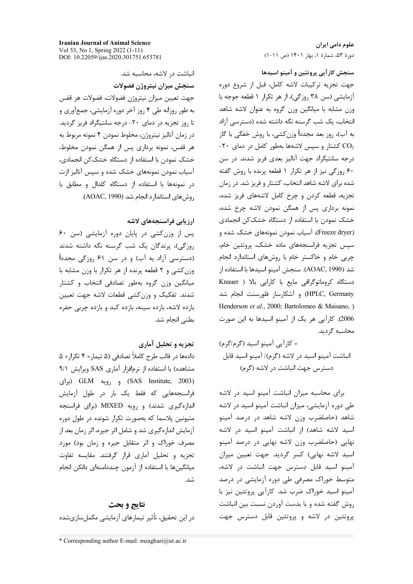**Iranian Journal of Animal Science** Vol 53, No 1, Spring 2022 (1-11) DOI: 10.22059/ijas.2020.301751.653781

انباشت د. لاشه، محاسبه شد.

سنجش ميزان نيتروژن فضولات جهت تعيين ميزان نيتروژن فضولات، فضولات هر قفس به طور روزانه طی ۴ روز آخر دوره آزمایشی، جمعآوری و تا روز تجزیه در دمای ۲۰- درجه سانتیگراد فریز گردید. در زمان آناليز نيتروژن، مخلوط نمودن ۴ نمونه مربوط به هر قفس، نمونه برداری پس از همگن نمودن مخلوط، خشک نمودن با استفاده از دستگاه خشککن انجمادی، آسیاب نمودن نمونههای خشک شده و سیس آنالیز ازت در نمونهها با استفاده از دستگاه کلدال و مطابق با روش های استاندارد انجام شد (AOAC, 1990).

## ارزيابي فراسنجههاي لاشه

پس از وزن کشی در پایان دوره آزمایشی (سن ۶۰ روزگی)، پرندگان یک شب گرسنه نگه داشته شدند (دسترسی آزاد به آب) و در سن ۶۱ روزگی مجدداً وزن کشی و ۲ قطعه پرنده از هر تکرار با وزن مشابه با میانگین وزن گروه بهطور تصادفی انتخاب و کشتار شدند. تفکیک و وزنکشی قطعات لاشه جهت تعیین بازده لاشه، بازده سینه، بازده کبد و بازده چربی حفره بطني انجام شد.

### تجزیه و تحلیل آماری

دادهها در قالب طرح کاملاً تصادفی (۵ تیمار× ۴ تکرار× ۵ مشاهده) با استفاده از نرمافزار آماری SAS ویرایش ۹/۱ (SAS Institute, 2003) و رويه GLM (براى فراسنجههایی که فقط یک بار در طول آزمایش اندازهگیری شدند) و رویه MIXED (برای فراسنجه متیونین پلاسما که بهصورت تکرار شونده در طول دوره آزمایش اندازهگیری شد و شامل اثر جیره، اثر زمان بعد از مصرف خوراک و اثر متقابل جیره و زمان بود) مورد تجزیه و تحلیل آماری قرار گرفتند. مقایسه تفاوت میانگینها با استفاده از آزمون چنددامنهای دانکن انجام شد.

نتايج و بحث در این تحقیق، تأثیر تیمارهای آزمایشی مکملسازیشده

علوم دامی ایران دورهٔ ۵۳، شمارهٔ ۱، بهار ۱۴۰۱ (ص ۱۱-۱)

سنجش كارآيي پروتئين و آمينو اسيدها

جهت تجزيه تركيبات لاشه كامل، قبل از شروع دوره آزمایشی (سن ۳۸ روزگی)، از هر تکرار ۱ قطعه جوجه با وزن مشابه با میانگین وزن گروه به عنوان لاشه شاهد انتخاب، یک شب گرسنه نگه داشته شده (دسترسی آزاد به آب)، روز بعد مجدداً وزنكشي، با روش خفگي با گاز -۲۰ کشتار و سپس لاشهها بهطور کامل در دمای ۲۰-درجه سانتیگراد جهت آنالیز بعدی فریز شدند. در سن ۶۰ روزگی نیز از هر تکرار ۱ قطعه پرنده با روش گفته شده برای لاشه شاهد انتخاب، کشتار و فریز شد. در زمان تجزیه، قطعه کردن و چرخ کامل لاشههای فریز شده، نمونه برداری پس از همگن نمودن لاشه چرخ شده، خشک نمودن با استفاده از دستگاه خشککن انجمادی (Freeze dryer)، آسیاب نمودن نمونههای خشک شده و سپس تجزیه فراسنجههای ماده خشک، پروتئین خام، چربی خام و خاکستر خام با روشهای استاندارد انجام شد (AOAC, 1990). سنجش آمينو اسيدها با استفاده از دستگاه کروماتوگرافی مایع با کارایی بالا ( Knauer HPLC, Germany) و آشکارساز فلورسنت انجام شد Henderson et al., 2000; Bartolomeo & Maisano, ) 2006). كارآيي هر يك از آمينو اسيدها به اين صورت محاسبه گردید.

= کارآيي آمينو اسيد (گرم/گرم) انباشت آمینو اسید در لاشه (گرم)/ آمینو اسید قابل دسترس جهت انباشت در لاشه (گرم)

برای محاسبه میزان انباشت آمینو اسید در لاشه طی دوره آزمایشی، میزان انباشت آمینو اسید در لاشه شاهد (حاصلضرب وزن لاشه شاهد در درصد آمینو اسید لاشه شاهد) از انباشت آمینو اسید در لاشه نهایی (حاصلضرب وزن لاشه نهایی در درصد آمینو اسید لاشه نهایی) کسر گردید. جهت تعیین میزان آمینو اسید قابل دسترس جهت انباشت در لاشه، متوسط خوراک مصرفی طی دوره آزمایشی در درصد آمینو اسید خوراک ضرب شد. کارآیی پروتئین نیز با روش گفته شده و با بدست آوردن نسبت بین انباشت پروتئین در لاشه و پروتئین قابل دسترس جهت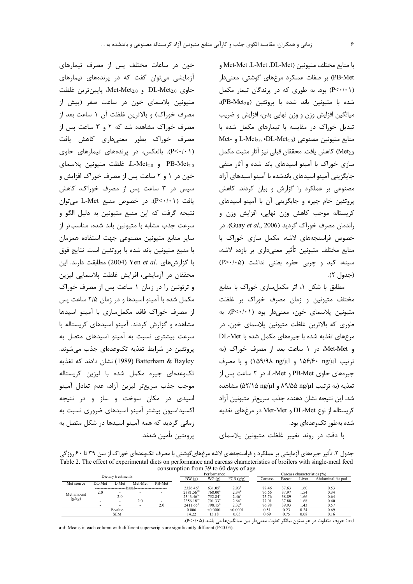خون در ساعات مختلف پس از مصرف تیمارهای

آزمایشی میتوان گفت که در پرندههای تیمارهای

و DL-Met<sub>2.0</sub> و Met-Met<sub>2.0</sub> بايين ترين غلظت

متیونین پلاسمای خون در ساعت صفر (پیش از مصرف خوراک) و بالاترین غلظت آن ۱ ساعت بعد از

مصرف خوراک مشاهده شد که ۲ و ۳ ساعت پس از

مصرف خوراک بطور معنیداری کاهش یافت

(P<۰/۰۱). بالعکس، در پرندههای تیمارهای حاوی  $L$ -Met<sub>2.0</sub> و L-Met<sub>2.0</sub> غلظت متيونين يلاسماى

خون در ۱ و ۲ ساعت پس از مصرف خوراک افزایش و

سپس در ۳ ساعت پس از مصرف خوراک، کاهش

یافت (P<۰/۰۱). در خصوص منبع L-Met می توان

نتيجه گرفت كه اين منبع متيونين به دليل الگو و سرعت جذب مشابه با متيونين باند شده، مناسبتر از

ساير منابع متيونين مصنوعي جهت استفاده همزمان با منبع متيونين باند شده با پروتئين است. نتايج فوق

با گزارش های .Yen et al (2004) مطابقت دارند. این

محققان در آزمایشی، افزایش غلظت پلاسمایی لیزین

و ترئونین را در زمان ١ ساعت پس از مصرف خوراک

مکمل شده با آمینو اسیدها و در زمان ۲/۵ ساعت پس

از مصرف خوراک فاقد مکملسازی با آمینو اسیدها

مشاهده و گزارش کردند. آمینو اسیدهای کریستاله با

سرعت بیشتری نسبت به آمینو اسیدهای متصل به

پروتئین در شرایط تغذیه تکوعدهای جذب می شوند.

Batterham & Bayley (1989) نشان دادند که تغذیه

تکوعدهای جیره مکمل شده با لیزین کریستاله

موجب جذب سريعتر ليزين أزاد، عدم تعادل أمينو

اسیدی در مکان سوخت و ساز و در نتیجه

اکسیداسیون بیشتر آمینو اسیدهای ضروری نسبت به زمانی گردید که همه آمینو اسیدها در شکل متصل به

با منابع مختلف متيونين (Met-Met ،L-Met ،DL-Met و PB-Met) بر صفات عملکرد مرغهای گوشتی، معنیدار (P<٠/٠١) بود. به طوری که در پرندگان تیمار مکمل شده با متيونين باند شده با پروتئين (PB-Met2.0)، میانگین افزایش وزن و وزن نهایی بدن، افزایش و ضریب تبدیل خوراک در مقایسه با تیمارهای مکمل شده با Met- J و -L-Met<sub>2.0</sub> (DL-Met<sub>2.0</sub> منابع متيونين مصنوعي @Met2) كاهش يافت. محققان قبلي نيز آثار مثبت مكمل سازی خوراک با آمینو اسیدهای باند شده و آثار منفی جایگزینی آمینو اسیدهای باندشده با آمینو اسیدهای آزاد مصنوعی بر عملکرد را گزارش و بیان کردند. کاهش پروتئین خام جیره و جایگزینی آن با آمینو اسیدهای کریستاله موجب کاهش وزن نهایی، افزایش وزن و راندمان مصرف خوراک گردید (Guay et al., 2006). در خصوص فراسنجههای لاشه، مکمل سازی خوراک با منابع مختلف متيونين تأثير معنىدارى بر بازده لاشه،  $(P > \cdot / \cdot \Delta)$  سینه، کبد و چربی حفره بطنی نداشت (جدول ٢).

مطابق با شكل ١، اثر مكملسازي خوراك با منابع مختلف متیونین و زمان مصرف خوراک بر غلظت متيونين پلاسماي خون، معنىدار بود (P<٠/٠١). به طوري كه بالاترين غلظت متيونين پلاسماي خون، در مرغهای تغذیه شده با جیرههای مکمل شده با DL-Met و Met-Met، در ١ ساعت بعد از مصرف خوراک (به ترتيب 1۵۶/۶۰ ng/µl و ۱۵۹/۹۸ ng/µl) و با مصرف جیرههای حاوی PB-Met و L-Met، در ۲ ساعت پس از تغذيه (به ترتيب ٨٩/۵۵ ٨٩/۵۵ و ۵٢/١۵ (٥٢/١۵) مشاهده شد. این نتیجه نشان دهنده جذب سریعتر متیونین آزاد کریستاله از نوع DL-Met و Met-Met در مرغهای تغذیه شده بهطور تکوعدهای بود.

با دقت در روند تغییر غلظت متیونین پلاسمای

جدول ۲. تأثیر جیرههای آزمایشی بر عملکرد و فراسنجههای لاشه مرغهایگوشتی با مصرف تکوعدهای خوراک از سن ۳۹ تا ۶۰ روزگی Table 2. The effect of experimental diets on performance and carcass characteristics of broilers with single-meal feed consumption from 39 to 60 days of age

| Dietary treatments |        |         |                          |        |                       | Performance         |                   |  |         |               | Carcass characteristics (%) |                   |  |  |  |
|--------------------|--------|---------|--------------------------|--------|-----------------------|---------------------|-------------------|--|---------|---------------|-----------------------------|-------------------|--|--|--|
|                    |        |         |                          |        | BW(g)                 | FCR(g/g)<br>WG (g)  |                   |  | Carcass | <b>Breast</b> | Liver                       | Abdominal fat pad |  |  |  |
| Met source         | DL-Met | L-Met   | Met-Met                  | PB-Met |                       |                     |                   |  |         |               |                             |                   |  |  |  |
|                    |        |         |                          |        | 2326.46 <sup>c</sup>  | 631.05 <sup>c</sup> | 2.93 <sup>a</sup> |  | 77.46   | 37.63         | l.60                        | 0.53              |  |  |  |
| Met amount         | 2.0    |         | $\overline{\phantom{0}}$ |        | 2381.56 <sup>ab</sup> | $768.00^a$          | $2.34^{\circ}$    |  | 76.66   | 37.97         | . 54                        | 0.34              |  |  |  |
|                    |        | 2.0     | $\overline{\phantom{a}}$ |        | $2343.46^{bc}$        | 752.84 <sup>a</sup> | 2.46 <sup>c</sup> |  | 75.76   | 38.89         | 1.66                        | 0.64              |  |  |  |
| (g/kg)             |        |         | 2.0                      |        | $2356.18^{bc}$        | $701.33^{b}$        | $2.64^{\circ}$    |  | 77.01   | 37.88         | 1.68                        | 0.40              |  |  |  |
|                    |        | -       | $\overline{\phantom{0}}$ | 2.0    | $2411.65^a$           | $798.15^a$          | $2.32^{\rm d}$    |  | 76.98   | 39.93         | 1.43                        | 0.57              |  |  |  |
|                    |        | P-value |                          |        | 0.006                 | < 0.0001            | < 0.0001          |  | 0.51    | 0.23          | 0.24                        | 0.69              |  |  |  |
| <b>SEM</b>         |        |         |                          |        | 14.22                 | 15.18               | 0.03              |  | 0.69    | 0.75          | 0.08                        | 0.16              |  |  |  |

.<br>a-d: حروف متفاوت در هر ستون بيانگر تفاوت معنىدار بين ميانگينها مي باشد (P<-/·۵).

a-d: Means in each column with different superscripts are significantly different (P<0.05).

يروتئين تأمين شدند.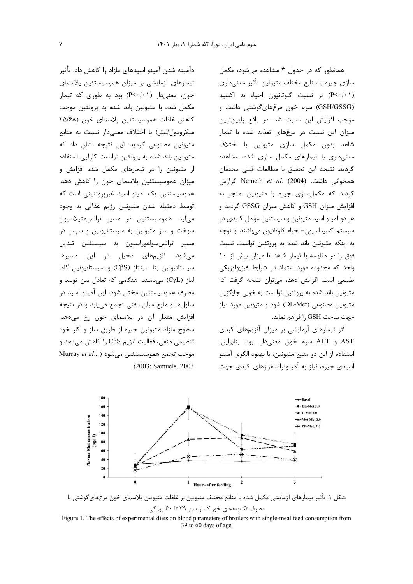دآمینه شدن آمینو اسیدهای مازاد را کاهش داد. تأثیر تیمارهای آزمایشی بر میزان هموسیستئین پلاسمای خون، معنی دار (P<۰/۰۱) بود به طوری که تیمار مکمل شده با متیونین باند شده به پروتئین موجب كاهش غلظت هموسيستئين يلاسماي خون (٢۵/۶۸ میکرومول/لیتر) با اختلاف معنیدار نسبت به منابع متیونین مصنوعی گردید. این نتیجه نشان داد که متیونین باند شده به پروتئین توانست کارآیی استفاده از متیونین را در تیمارهای مکمل شده افزایش و میزان هموسیستئین پلاسمای خون را کاهش دهد. هموسیستئین یک آمینو اسید غیریروتئینی است که توسط دمتیله شدن متیونین رژیم غذایی به وجود میآید. هموسیستئین در مسیر ترانسمتیلاسیون سوخت و ساز متيونين به سيستاتيونين و سپس در مسير ترانس،سولفوراسيون به سيستئين تبديل می شود. آنزیمهای دخیل در این مسیرها سیستاتیونین بتا سینتاز (CβS) و سیستاتیونین گاما لياز (CyL) مى باشند. هنگامى كه تعادل بين توليد و مصرف هموسیستئین مختل شود، این آمینو اسید در سلولها و مایع میان بافتی تجمع می یابد و در نتیجه افزایش مقدار آن در پلاسمای خون رخ می،دهد. سطوح مازاد متیونین جیره از طریق ساز و کار خود تنظيمي منفي، فعاليت آنزيم ςβS ,ا كاهش مي دهد و Murray et al., ) موجب تجمع هموسيستئين مى شود .(2003; Samuels, 2003).

(P<٠/٠١) بر نسبت گلوتاتیون احیاء به اکسید (GSH/GSSG) سرم خون مرغهایگوشتی داشت و موجب افزایش این نسبت شد. در واقع پایینترین میزان این نسبت در مرغهای تغذیه شده با تیمار شاهد بدون مكمل سازى متيونين با اختلاف معنی داری با تیمارهای مکمل سازی شده، مشاهده گردید. نتیجه این تحقیق با مطالعات قبلی محققان همخوانی داشت. Nemeth et al. (2004) گزارش کردند که مکملسازی جیره با متیونین، منجر به افزایش میزان GSH و کاهش میزان GSSG گردید و هر دو آمینو اسید متیونین و سیستئین عوامل کلیدی در سيستم اکسيداسيون- احياء گلوتاتيون مي باشند. با توجه به اینکه متیونین باند شده به پروتئین توانست نسبت فوق را در مقایسه با تیمار شاهد تا میزان بیش از ۱۰ واحد که محدوده مورد اعتماد در شرایط فیزیولوژیکی طبیعی است، افزایش دهد، میتوان نتیجه گرفت که متيونين باند شده به پروتئين توانست به خوبي جايگزين متیونین مصنوعی (DL-Met) شود و متیونین مورد نیاز

همانطور که در جدول ۳ مشاهده می شود، مکمل سازی جیره با منابع مختلف متیونین تأثیر معنیداری

اثر تیمارهای آزمایشی بر میزان آنزیمهای کبدی AST و ALT سرم خون معنى دار نبود. بنابراين، استفاده از این دو منبع متیونین، با بهبود الگوی آمینو اسیدی جیره، نیاز به آمینوترانسفرازهای کبدی جهت

جهت ساخت GSH ,ا فراهم نمايد.



شکل ۱. تأثیر تیمارهای آزمایشی مکمل شده با منابع مختلف متیونین بر غلظت متیونین پلاسمای خون مرغهای گوشتی با مصرف تکوعدهای خوراک از سن ۳۹ تا ۶۰ روزگی Figure 1. The effects of experimental diets on blood parameters of broilers with single-meal feed consumption from

39 to 60 days of age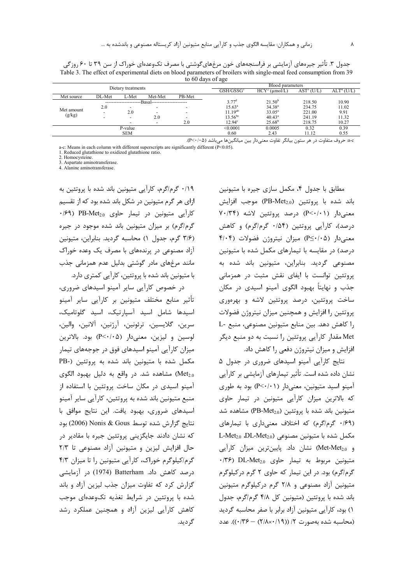جدول ۳. تأثیر جیرههای آزمایشی بر فراسنجههای خون مرغهایگوشتی با مصرف تکوعدهای خوراک از سن ۳۹ تا ۶۰ روزگی Table 3. The effect of experimental diets on blood parameters of broilers with single-meal feed consumption from 39 to 60 days of age

|                      |                          | Dietary treatments |                         |                          | Blood parameters   |                                          |                |                        |  |  |  |
|----------------------|--------------------------|--------------------|-------------------------|--------------------------|--------------------|------------------------------------------|----------------|------------------------|--|--|--|
|                      |                          |                    |                         |                          | $\rm GSH/GSSG^1$   | HCY <sup>2</sup><br>$(\mu \text{mol}/L)$ | $AST^s$<br>U/L | ALT <sup>4</sup> (U/L) |  |  |  |
| Met source           | DL-Met                   | ∟-Met              | Met-Met                 | PB-Met                   |                    |                                          |                |                        |  |  |  |
|                      |                          |                    | Basal------------------ |                          | $3.77^{\rm d}$     | $21.50^{b}$                              | 218.50         | 10.90                  |  |  |  |
| Met amount<br>(g/kg) | 2.0                      | -                  | -                       | $\overline{\phantom{a}}$ | $15.63^{\circ}$    | $34.38^{a}$                              | 234.75         | 11.02                  |  |  |  |
|                      | $\overline{\phantom{0}}$ | 2.0                | -                       | $\overline{\phantom{a}}$ | $11.19^{ab}$       | $33.05^a$                                | 221.00         | 9.91                   |  |  |  |
|                      | -                        |                    | 2.0                     | $\overline{\phantom{a}}$ | $13.56^{bc}$       | $40.43^a$                                | 241.19         | 11.32                  |  |  |  |
|                      |                          |                    | -                       | 2.0                      | 12.94 <sup>c</sup> | $25.68^{b}$                              | 218.75         | 10.27                  |  |  |  |
|                      |                          | P-value            |                         |                          | < 0.0001           | 0.0005                                   | 0.32           | 0.39                   |  |  |  |
|                      |                          | <b>SEM</b>         |                         |                          | 0.60               | 2.43                                     | 11.12          | 0.55                   |  |  |  |

a-c: حروف متفاوت در هر ستون بيانگر تفاوت معنىدار بين ميانگينها ميباشد (P<٠/٠۵).

a-c: Means in each column with different superscripts are significantly different (P<0.05).

1. Reduced glutathione to oxidized glutathione ratio.

2. Homocysteine.

3. Aspartate aminotransferase.<br>4. Alanine aminotransferase.

۰/۱۹ گرم/گرم، کارآیی متیونین باند شده با پروتئین به ازای هر گرم متیونین در شکل باند شده بود که از تقسیم VI متيونين در تيمار حاوى PB-Met<sub>2.0</sub> (۶۹) گرم/گرم) بر میزان متیونین باند شده موجود در جیره (٣/۶ گرم، جدول ١) محاسبه گرديد. بنابراين، متيونين آزاد مصنوعی در پرندههای با مصرف یک وعده خوراک مانند مرغهای مادر گوشتی بدلیل عدم همزمانی جذب با متیونین باند شده با پروتئین، کارآیی کمتری دارد.

در خصوص کارآیی سایر آمینو اسیدهای ضروری، تأثیر منابع مختلف متیونین بر کارآیی سایر آمینو اسیدها شامل اسید آسیا<sub>ر</sub>تیک، اسید گلوتامیک، سرين، گلايسين، ترئونين، آرژنين، آلانين، والين، لوسين و ليزين، معنى دار (P<٠/٠۵) بود. بالاترين میزان کارآیی آمینو اسیدهای فوق در جوجههای تیمار مکمل شده با متیونین باند شده به پروتئین (-PB Met2.0) مشاهده شد. در واقع به دليل بهبود الگوى آمینو اسیدی در مکان ساخت پروتئین با استفاده از منبع متیونین باند شده به پروتئین، کارآیی سایر آمینو اسیدهای ضروری، بهبود یافت. این نتایج موافق با نتايج گزارش شده توسط Nonis & Gous (2006) بود که نشان دادند جایگزینی پروتئین جیره با مقادیر در حال افزایش لیزین و متیونین آزاد مصنوعی تا ٢/٣ گرم/کیلوگرم خوراک، کارآیی متیونین را تا میزان ۴/۳ درصد کاهش داد. Batterham (1974) در آزمایشی گزارش کرد که تفاوت میزان جذب لیزین آزاد و باند شده با پروتئین در شرایط تغذیه تکوعدهای موجب کاهش کارآیی لیزین آزاد و همچنین عملکرد رشد گ دىد.

مطابق با جدول ۴، مکمل سازی جیره با متیونین باند شده با پروتئین (PB-Met<sub>2.0</sub>) موجب افزایش معنیدار (P<۰/۰۱) درصد پروتئین لاشه (۷۰/۳۴ درصد)، کارآیی پروتئین (۱۵۴۰ گرم/گرم) و کاهش معنیدار (P≤٠/٠۵) میزان نیتروژن فضولات (۴/۰۴ درصد) در مقایسه با تیمارهای مکمل شده با متیونین مصنوعی گردید. بنابراین، متیونین باند شده به پروتئین توانست با ایفای نقش مثبت در همزمانی جذب و نهایتاً بهبود الگوی آمینو اسیدی در مکان ساخت پروتئین، درصد پروتئین لاشه و بهرهوری پروتئین را افزایش و همچنین میزان نیتروژن فضولات را كاهش دهد. بين منابع متيونين مصنوعي، منبع -L Met مقدار كارآيي پروتئين را نسبت به دو منبع ديگر افزایش و میزان نیتروژن دفعی را کاهش داد.

نتایج کارآیی آمینو اسیدهای ضروری در جدول ۵ نشان داده شده است. تأثیر تیمارهای آزمایشی بر کارآیی آمینو اسید متیونین، معنی دار (P<۰/۰۱) بود به طوری که بالاترین میزان کارآیی متیونین در تیمار حاوی متيونين باند شده با پروتئين (PB-Met<sub>2.0</sub>) مشاهده شد (۱۶۹ گرم/گرم) که اختلاف معنیداری با تیمارهای L-Met<sub>2.0</sub> DL-Met<sub>2.0</sub>) متيونين مصنوعي (L-Met<sub>2.0</sub> و Met-Met2.0) نشان داد. پایینترین میزان کارآیی  $\cdot$ /٣۶) DL-Met<sub>2.0</sub> حاوى  $\cdot$ Net<sub>2.0</sub> مربوط به تيمار حاوي گرم/گرم) بود. در این تیمار که حاوی ۲ گرم درکیلوگرم متیونین آزاد مصنوعی و ۲/۸ گرم درکیلوگرم متیونین باند شده با پروتئین (متیونین کل ۴/۸ گرم/گرم، جدول ١) بود، كارآيي متيونين آزاد برابر با صفر محاسبه گرديد (محاسبه شده بهصورت ٢/ ((٢/١٨×٢/١) - ٠/٣۶)). عدد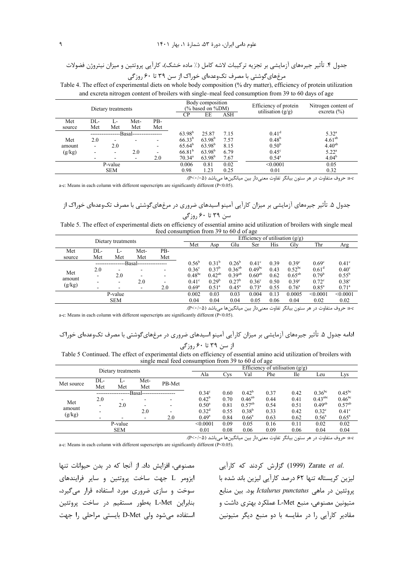UE#g\_ y1./ Y/ 0/G?1H \*+ (JBF 5 %) 7+ ! E U:/+1? ! YL? 1 B \* &51/) 1/ac? 4. P4) T 39 ?60 08 K#F &542 J? V13 . #T& S1

Table 4. The effect of experimental diets on whole body composition (% dry matter), efficiency of protein utilization and excreta nitrogen content of broilers with single-meal feed consumption from 39 to 60 days of age

|        | Dietary treatments |                          |            | Body composition<br>(% based on %DM) |                    | Efficiency of protein<br>utilisation $(g/g)$ | Nitrogen content of<br>excreta $(\% )$ |                   |                   |
|--------|--------------------|--------------------------|------------|--------------------------------------|--------------------|----------------------------------------------|----------------------------------------|-------------------|-------------------|
|        |                    |                          | CP         | EE                                   | ASH                |                                              |                                        |                   |                   |
| Met    | DL-                |                          | Met-       | PB-                                  |                    |                                              |                                        |                   |                   |
| source | Met                | Met                      | Met        | Met                                  |                    |                                              |                                        |                   |                   |
|        |                    |                          | --Basal--- |                                      | $63.98^{b}$        | 25.87                                        | 7.15                                   | $0.41^d$          | $5.32^{\circ}$    |
| Met    | 2.0                |                          |            |                                      | $66.33^{b}$        | $63.98^{b}$                                  | 7.57                                   | 0.48 <sup>b</sup> | $4.61^{ab}$       |
| amount | ۰                  | 2.0                      |            | -                                    | $65.64^b$          | $63.98^{b}$                                  | 8.15                                   | 0.50 <sup>b</sup> | $4.40^{ab}$       |
| (g/kg) |                    | $\overline{\phantom{a}}$ | 2.0        |                                      | 66.81 <sup>b</sup> | $63.98^{b}$                                  | 6.79                                   | $0.45^{\circ}$    | $5.22^{\rm a}$    |
|        |                    |                          |            | 2.0                                  | $70.34^{\circ}$    | $63.98^{b}$                                  | 7.67                                   | $0.54^{\circ}$    | 4.04 <sup>b</sup> |
|        |                    | P-value                  |            |                                      | 0.006              | 0.81                                         | 0.02                                   | < 0.0001          | 0.05              |
|        |                    | <b>SEM</b>               |            |                                      | 0.98               | 1.23                                         | 0.25                                   | 0.01              | 0.32              |

a-c: حروف متفاوت در هر ستون بيانگر تفاوت معنىدار بين ميانگينها مىباشد (P<٠/٠۵).

a-c: Means in each column with different superscripts are significantly different (P<0.05).

 K#F &542 J? V13 . #T& S1 &1^ &4/8 #-/\* \*+ Y/ 1 B \* &51/) 1/ac? .5 P4) T 39 ?60 08

Table 5. The effect of experimental diets on efficiency of essential amino acid utilization of broilers with single meal feed consumption from 39 to 60 d of age

| Dietary treatments |                |                   |                |              | Efficiency of utilisation $(g/g)$ |                   |                   |                |      |                |                |                |  |
|--------------------|----------------|-------------------|----------------|--------------|-----------------------------------|-------------------|-------------------|----------------|------|----------------|----------------|----------------|--|
|                    |                |                   |                |              | Met                               | Asp               | Glu               | Ser            | His  | Gly            | Thr            | Arg            |  |
| Met                | DL-            |                   | Met-           | PB-          |                                   |                   |                   |                |      |                |                |                |  |
| source             | Met            | Met               | Met            | Met          |                                   |                   |                   |                |      |                |                |                |  |
|                    | $0.56^{\circ}$ | 0.31 <sup>b</sup> | $0.26^{\circ}$ | $0.41^\circ$ | 0.39                              | 0.39 <sup>c</sup> | 0.69 <sup>c</sup> | $0.41^\circ$   |      |                |                |                |  |
|                    | 2.0            |                   | -              | -            | 0.36 <sup>c</sup>                 | 0.37 <sup>b</sup> | $0.36^{ab}$       | $0.49^{bc}$    | 0.43 | $0.52^{bc}$    | $0.61^{\rm d}$ | $0.40^\circ$   |  |
| Met                | ۰              | 2.0               | -              | -            | $0.48^{bc}$                       | $0.42^{ab}$       | $0.39^{ab}$       | $0.60^{ab}$    | 0.62 | $0.65^{ab}$    | $0.79^b$       | $0.55^{\rm b}$ |  |
| amount             |                |                   | 2.0            | -            | $0.41^\circ$                      | $0.29^{b}$        | $0.27^b$          | $0.36^{\circ}$ | 0.50 | $0.39^\circ$   | $0.72^{\circ}$ | $0.38^{\circ}$ |  |
| (g/kg)             |                |                   |                | 2.0          | $0.69^{\rm a}$                    | $0.51^{\circ}$    | $0.45^{\circ}$    | $0.73^{\rm a}$ | 0.55 | $0.76^{\circ}$ | $0.85^{\rm a}$ | $0.71^{\circ}$ |  |
|                    | 0.002          | 0.03              | 0.03           | 0.004        | 0.13                              | 0.0005            | < 0.0001          | < 0.0001       |      |                |                |                |  |
| <b>SEM</b>         |                |                   |                |              | 0.04                              | 0.04              | 0.04              | 0.05           | 0.06 | 0.04           | 0.02           | 0.02           |  |
|                    |                |                   |                |              |                                   |                   |                   |                |      |                |                |                |  |

a-c: حروف متفاوت در هر ستون بيانگر تفاوت معنىدار بين ميانگينها مىباشد (P<٠/٠۵). a-c: Means in each column with different superscripts are significantly different (P<0.05).

 K#F &542 J? V13 . #T S1 &1^ & & 4/8 #-/\* \*+ Y/ 1 B \* &51/) 1/ac? .5 P4) ! T 39 ?60 08

Table 5 Continued. The effect of experimental diets on efficiency of essential amino acid utilization of broilers with single meal feed consumption from 39 to 60 d of age

| --------<br>----        |                    |      |      |        |                   |      |                                   |      |            |                     |                |  |  |  |  |  |  |
|-------------------------|--------------------|------|------|--------|-------------------|------|-----------------------------------|------|------------|---------------------|----------------|--|--|--|--|--|--|
|                         | Dietary treatments |      |      |        |                   |      | Efficiency of utilisation $(g/g)$ |      |            |                     |                |  |  |  |  |  |  |
|                         |                    |      |      |        | Ala               | Cvs  | Val                               | Phe  | <b>Ile</b> | Leu                 | Lys            |  |  |  |  |  |  |
|                         | DL-                |      | Met- | PB-Met |                   |      |                                   |      |            |                     |                |  |  |  |  |  |  |
| Met source              | Met                | Met  | Met  |        |                   |      |                                   |      |            |                     |                |  |  |  |  |  |  |
| -Basal--                |                    |      |      |        | $0.34^\circ$      | 0.60 | $0.42^b$                          | 0.37 | 0.42       | $0.36^{bc}$         | $0.45^{bc}$    |  |  |  |  |  |  |
| Met<br>amount<br>(g/kg) | 2.0                |      |      |        | $0.42^b$          | 0.70 | $0.46^{ab}$                       | 0.44 | 0.41       | $0.43^{\text{abc}}$ | $0.46^{bc}$    |  |  |  |  |  |  |
|                         |                    | 2.0  | -    |        | $0.50^{\circ}$    | 0.81 | $0.57^{ab}$                       | 0.54 | 0.51       | $0.49^{ab}$         | $0.57^{ab}$    |  |  |  |  |  |  |
|                         |                    |      | 2.0  |        | 0.32 <sup>d</sup> | 0.55 | $0.38^{b}$                        | 0.33 | 0.42       | $0.32^{\circ}$      | $0.41^\circ$   |  |  |  |  |  |  |
|                         |                    |      | -    | 2.0    | $0.49^{\rm a}$    | 0.84 | $0.66^{\circ}$                    | 0.63 | 0.62       | $0.56^{\circ}$      | $0.65^{\rm a}$ |  |  |  |  |  |  |
| P-value                 |                    |      |      |        | < 0.0001          | 0.09 | 0.05                              | 0.16 | 0.11       | 0.02                | 0.02           |  |  |  |  |  |  |
|                         | 0.01               | 0.08 | 0.06 | 0.09   | 0.06              | 0.04 | 0.04                              |      |            |                     |                |  |  |  |  |  |  |
|                         |                    |      |      |        |                   |      |                                   |      |            |                     |                |  |  |  |  |  |  |

a-c: حروف متفاوت در هر ستون بيانگر تفاوت معنىدار بين ميانگينها مىباشد (P<٠/٠۵).

a-c: Means in each column with different superscripts are significantly different (P<0.05).

مصنوعي، افزايش داد. از آنجا كه در بدن حيوانات تنها سوخت و سازی ضروری مورد استفاده قرار می گیرد، بنابراین L-Met بهطور مستقیم در ساخت پروتئین استفاده میشود ولی D-Met بایستی مراحلی را جهت

.Zarate *et al* (1999) گزارش کردند که کارآیی لیزین کریستاله تنها ۶۲ درصد کارآیی لیزین باند شده با ایزومر L جهت ساخت پروتئین و سایر فرایندهای بروتئین در ماهی *Ictalurus punctatus ب*ود. بین منابع متيونين مصنوعي، منبع L-Met عملكرد بهترى داشت و مقادیر کارآیی را در مقایسه با دو منبع دیگر متیونین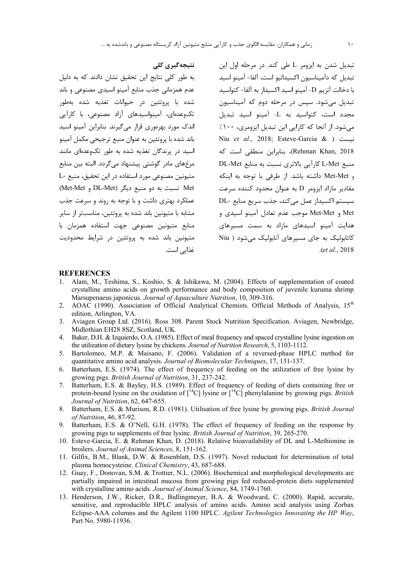نتیجەگیری کلی

به طور کلی نتایج این تحقیق نشان دادند که به دلیل عدم همزمانی جذب منابع آمینو اسیدی مصنوعی و باند

شده با پروتئین در حیوانات تغذیه شده بهطور

تکوعدهای، آمینواسیدهای آزاد مصنوعی، با کارآیی

اندک مورد بھرووری قرار مے گیرند. بنابراین آمینو اسید

باند شده با پروتئين به عنوان منبع ترجيحي مكمل آمينو

اسید در پرندگان تغذیه شده به طور تکوعدهای مانند

مرغهای مادر گوشتی پیشنهاد میگردد. البته بین منابع متيونين مصنوعي مورد استفاده در اين تحقيق، منبع -L

Met نسبت به دو منبع دیگر (DL-Met و Met-Met)

عملکرد بهتری داشت و با توجه به روند و سرعت جذب

مشابه با متیونین باند شده به یروتئین، مناسبتر از سایر

منابع متیونین مصنوعی جهت استفاده همزمان با

متیونین باند شده به پروتئین در شرایط محدودیت

تبدیل شدن به ایزومر L طی کند. در مرحله اول این تبدیل که دآمیناسیون اکسیداتیو است، آلفا- آمینو اسید با دخالت آنزیم D- آمینو اسید اکسیداز به آلفا- کتواسید تبدیل می شود. سیس در مرحله دوم که آمیناسیون مجدد است، کتواسید به L- آمینو اسید تبدیل میشود. از آنجا که کارایی این تبدیل ایزومری، ۱۰۰٪ Niu et al., 2018; Esteve-Garcia & ) نيست Rehman Khan, 2018)، بنابراین منطقی است که منبع L-Met كاراًيي بالاترى نسبت به منابع DL-Met و Met-Met داشته باشد. از طرفی با توجه به اینکه مقادیر مازاد ایزومر D به عنوان محدود کننده سرعت سيستم اكسيداز عمل مي كند، جذب سريع منابع -DL Met و Met-Met موجب عدم تعادل آمينو اسيدى و هدایت آمینو اسیدهای مازاد به سمت مسیرهای کاتابولیک به جای مسیرهای آنابولیک می شود ( Niu (et al., 2018).

#### **REFERENCES**

Alam, M., Teshima, S., Koshio, S. & Ishikawa, M. (2004). Effects of supplementation of coated  $\mathbf{1}$ . crystalline amino acids on growth performance and body composition of juvenile kuruma shrimp Marsupenaeus japonicus. Journal of Aquaculture Nutrition, 10, 309-316.

غذایے است.

- AOAC (1990). Association of Official Analytical Chemists. Official Methods of Analysis,  $15<sup>th</sup>$  $2.$ edition, Arlington, VA.
- 3. Aviagen Group Ltd. (2016). Ross 308. Parent Stock Nutrition Specification. Aviagen, Newbridge, Midlothian EH28 8SZ, Scotland, UK.
- 4. Baker, D.H. & Izquierdo, O.A. (1985). Effect of meal frequency and spaced crystalline lysine ingestion on the utilization of dietary lysine by chickens. Journal of Nutrition Research, 5, 1103-1112.
- 5. Bartolomeo, M.P. & Maisano, F. (2006). Validation of a reversed-phase HPLC method for quantitative amino acid analysis. Journal of Biomolecular Techniques, 17, 131-137.
- 6. Batterham, E.S. (1974). The effect of frequency of feeding on the utilization of free lysine by growing pigs. British Journal of Nutrition, 31, 237-242.
- 7. Batterham, E.S. & Bayley, H.S. (1989). Effect of frequency of feeding of diets containing free or protein-bound lysine on the oxidation of  $[^{14}C]$  lysine or  $[^{14}C]$  phenylalanine by growing pigs. *British* Journal of Nutrition, 62, 647-655.
- 8. Batterham, E.S. & Murison, R.D. (1981). Utilisation of free lysine by growing pigs. British Journal of Nutrition, 46, 87-92.
- 9. Batterham, E.S. & O'Nell, G.H. (1978). The effect of frequency of feeding on the response by growing pigs to supplements of free lysine. *British Journal of Nutrition*, 39, 265-270.
- 10. Esteve-Garcia, E. & Rehman Khan, D. (2018). Relative bioavailability of DL and L-Methionine in broilers. Journal of Animal Sciences, 8, 151-162.
- 11. Gilfix, B.M., Blank, D.W. & Rosenblatt, D.S. (1997). Novel reductant for determination of total plasma homocysteine. Clinical Chemistry, 43, 687-688.
- 12. Guay, F., Donovan, S.M. & Trottier, N.L. (2006). Biochemical and morphological developments are partially impaired in intestinal mucosa from growing pigs fed reduced-protein diets supplemented with crystalline amino acids. Journal of Animal Science, 84, 1749-1760.
- 13. Henderson, J.W., Ricker, D.R., Bidlingmeyer, B.A. & Woodward, C. (2000). Rapid, accurate, sensitive, and reproducible HPLC analysis of amino acids. Amino acid analysis using Zorbax Eclipse-AAA columns and the Agilent 1100 HPLC. Agilent Technologies Innovating the HP Way, Part No. 5980-11936.